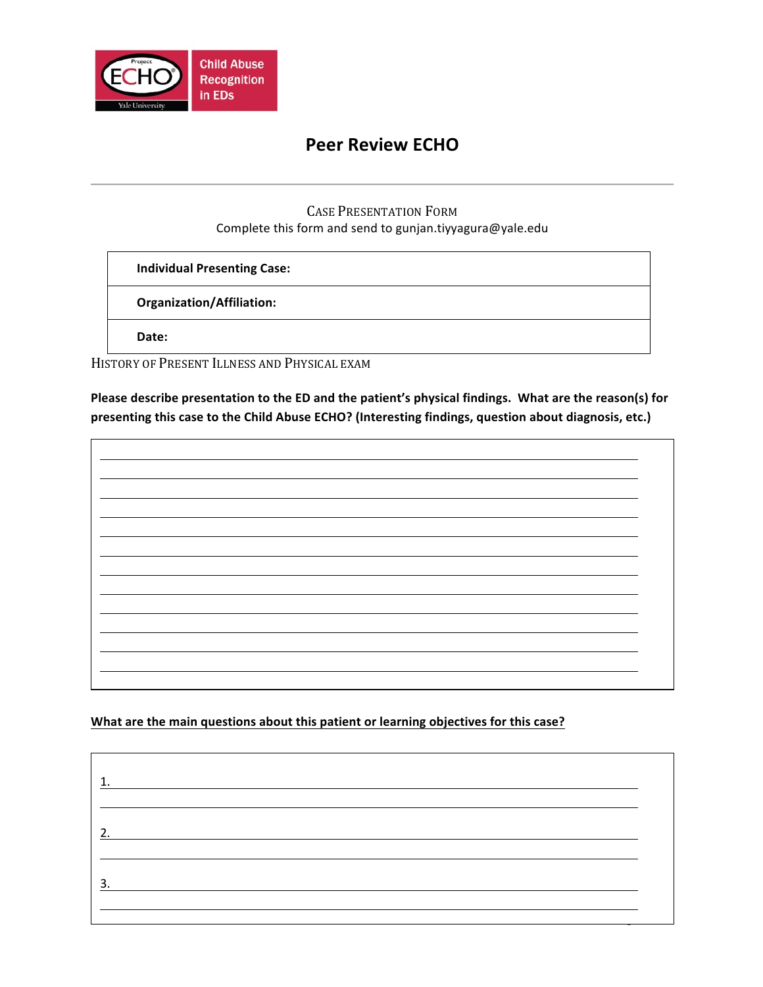

## **Peer Review ECHO**

### CASE PRESENTATION FORM Complete this form and send to gunjan.tiyyagura@yale.edu

**Individual Presenting Case:**

**Organization/Affiliation:**

Date:

HISTORY OF PRESENT ILLNESS AND PHYSICAL EXAM

Please describe presentation to the ED and the patient's physical findings. What are the reason(s) for presenting this case to the Child Abuse ECHO? (Interesting findings, question about diagnosis, etc.)

What are the main questions about this patient or learning objectives for this case?

Page **1** of **4** 1. 2. 3.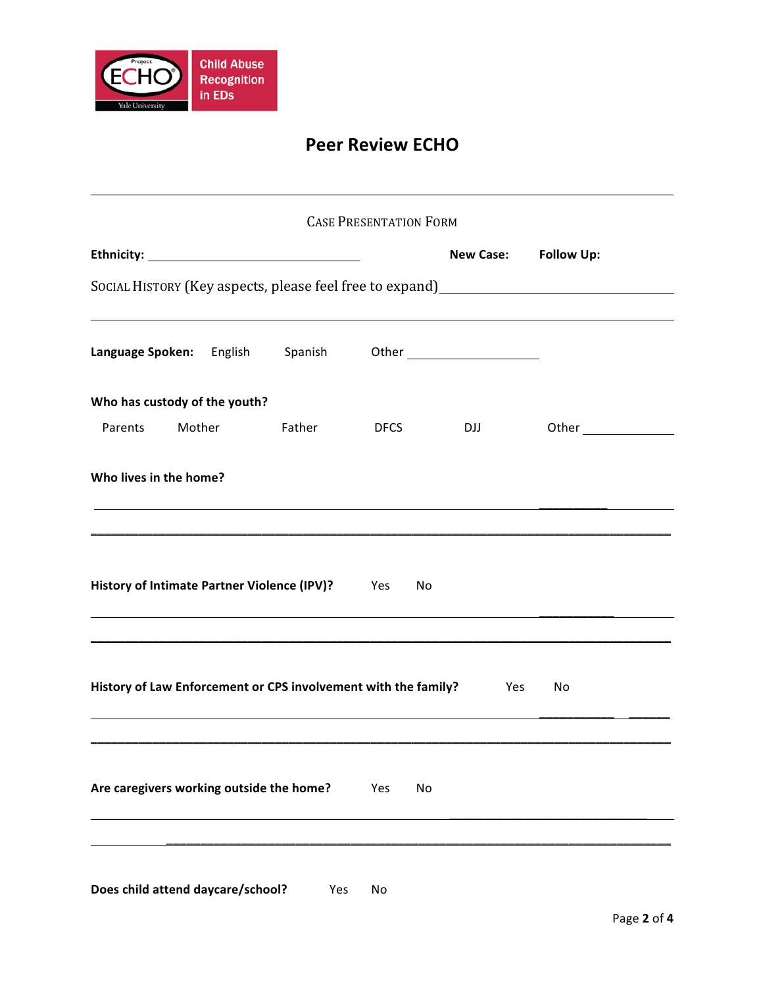

# **Peer Review ECHO**

|                                                                    |        |               | <b>CASE PRESENTATION FORM</b> |            |                                                                                   |
|--------------------------------------------------------------------|--------|---------------|-------------------------------|------------|-----------------------------------------------------------------------------------|
|                                                                    |        |               |                               |            | New Case: Follow Up:                                                              |
|                                                                    |        |               |                               |            | SOCIAL HISTORY (Key aspects, please feel free to expand)_________________________ |
|                                                                    |        |               |                               |            |                                                                                   |
| Who has custody of the youth?                                      |        |               |                               |            |                                                                                   |
| Parents                                                            | Mother | <b>Father</b> | <b>DFCS</b>                   | <b>DJJ</b> |                                                                                   |
| Who lives in the home?                                             |        |               |                               |            |                                                                                   |
| History of Intimate Partner Violence (IPV)? Yes                    |        |               | No                            |            |                                                                                   |
| History of Law Enforcement or CPS involvement with the family? Yes |        |               |                               |            | No                                                                                |
| Are caregivers working outside the home?                           |        |               | No<br>Yes                     |            |                                                                                   |
|                                                                    |        |               |                               |            |                                                                                   |

**Does child attend daycare/school?** Yes No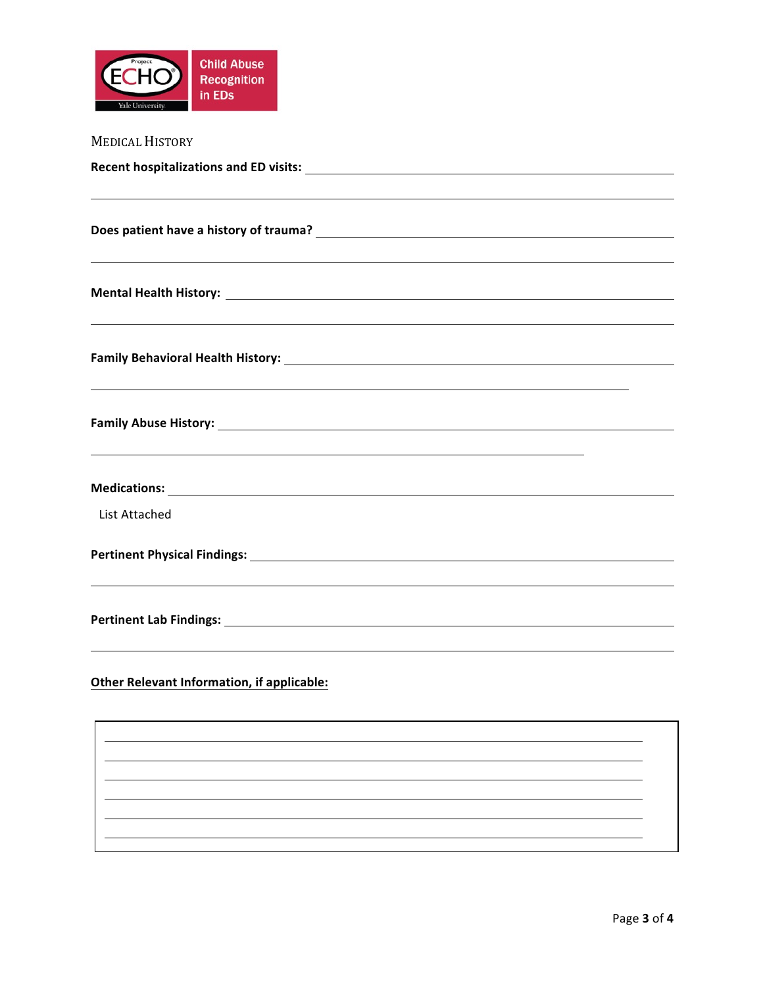

| <b>MEDICAL HISTORY</b>                                                           |
|----------------------------------------------------------------------------------|
|                                                                                  |
|                                                                                  |
|                                                                                  |
|                                                                                  |
|                                                                                  |
|                                                                                  |
|                                                                                  |
| ,我们也不会有什么。""我们的人,我们也不会有什么?""我们的人,我们也不会有什么?""我们的人,我们也不会有什么?""我们的人,我们也不会有什么?""我们的人 |
|                                                                                  |
|                                                                                  |
|                                                                                  |
|                                                                                  |
| <b>List Attached</b>                                                             |
|                                                                                  |
|                                                                                  |
|                                                                                  |
|                                                                                  |
|                                                                                  |
| <b>Other Relevant Information, if applicable:</b>                                |